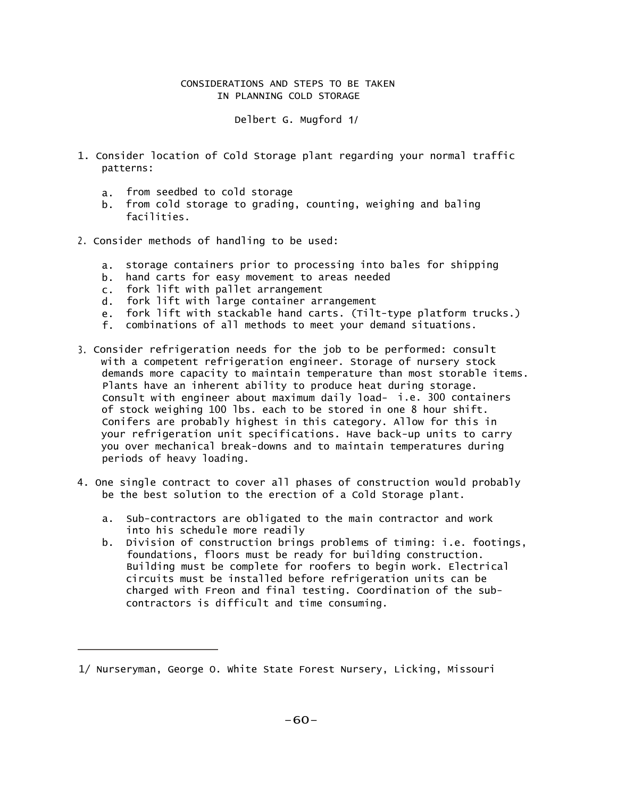## CONSIDERATIONS AND STEPS TO BE TAKEN IN PLANNING COLD STORAGE

Delbert G. Mugford 1/

- 1. Consider location of Cold Storage plant regarding your normal traffic patterns:
	- a. from seedbed to cold storage
	- b. from cold storage to grading, counting, weighing and baling facilities.
- 2. Consider methods of handling to be used:
	- a. storage containers prior to processing into bales for shipping
	- b. hand carts for easy movement to areas needed
	- c. fork lift with pallet arrangement
	- d. fork lift with large container arrangement
	- e. fork lift with stackable hand carts. (Tilt-type platform trucks.)
	- f. combinations of all methods to meet your demand situations.
- 3. Consider refrigeration needs for the job to be performed: consult with a competent refrigeration engineer. Storage of nursery stock demands more capacity to maintain temperature than most storable items. Plants have an inherent ability to produce heat during storage. Consult with engineer about maximum daily load- i.e. 300 containers of stock weighing 100 lbs. each to be stored in one 8 hour shift. Conifers are probably highest in this category. Allow for this in your refrigeration unit specifications. Have back-up units to carry you over mechanical break-downs and to maintain temperatures during periods of heavy loading.
- 4. One single contract to cover all phases of construction would probably be the best solution to the erection of a Cold Storage plant.
	- a. Sub-contractors are obligated to the main contractor and work into his schedule more readily
	- b. Division of construction brings problems of timing: i.e. footings, foundations, floors must be ready for building construction. Building must be complete for roofers to begin work. Electrical circuits must be installed before refrigeration units can be charged with Freon and final testing. Coordination of the subcontractors is difficult and time consuming.

<sup>1/</sup> Nurseryman, George O. White State Forest Nursery, Licking, Missouri